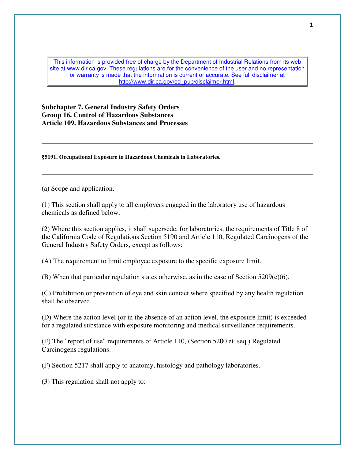This information is provided free of charge by the Department of Industrial Relations from its web site at www.dir.ca.gov. These regulations are for the convenience of the user and no representation or warranty is made that the information is current or accurate. See full disclaimer at http://www.dir.ca.gov/od\_pub/disclaimer.html.

**Subchapter 7. General Industry Safety Orders Group 16. Control of Hazardous Substances Article 109. Hazardous Substances and Processes** 

**§5191. Occupational Exposure to Hazardous Chemicals in Laboratories.** 

(a) Scope and application.

(1) This section shall apply to all employers engaged in the laboratory use of hazardous chemicals as defined below.

(2) Where this section applies, it shall supersede, for laboratories, the requirements of Title 8 of the California Code of Regulations Section 5190 and Article 110, Regulated Carcinogens of the General Industry Safety Orders, except as follows:

(A) The requirement to limit employee exposure to the specific exposure limit.

(B) When that particular regulation states otherwise, as in the case of Section  $5209(c)(6)$ .

(C) Prohibition or prevention of eye and skin contact where specified by any health regulation shall be observed.

(D) Where the action level (or in the absence of an action level, the exposure limit) is exceeded for a regulated substance with exposure monitoring and medical surveillance requirements.

(E) The "report of use" requirements of Article 110, (Section 5200 et. seq.) Regulated Carcinogens regulations.

(F) Section 5217 shall apply to anatomy, histology and pathology laboratories.

(3) This regulation shall not apply to: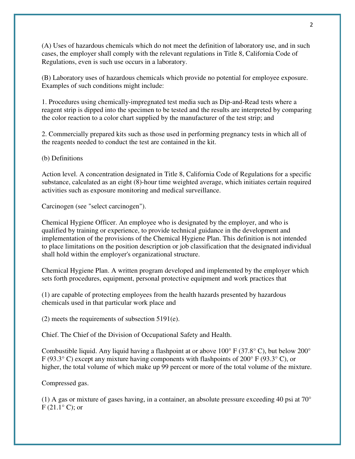(A) Uses of hazardous chemicals which do not meet the definition of laboratory use, and in such cases, the employer shall comply with the relevant regulations in Title 8, California Code of Regulations, even is such use occurs in a laboratory.

(B) Laboratory uses of hazardous chemicals which provide no potential for employee exposure. Examples of such conditions might include:

1. Procedures using chemically-impregnated test media such as Dip-and-Read tests where a reagent strip is dipped into the specimen to be tested and the results are interpreted by comparing the color reaction to a color chart supplied by the manufacturer of the test strip; and

2. Commercially prepared kits such as those used in performing pregnancy tests in which all of the reagents needed to conduct the test are contained in the kit.

(b) Definitions

Action level. A concentration designated in Title 8, California Code of Regulations for a specific substance, calculated as an eight (8)-hour time weighted average, which initiates certain required activities such as exposure monitoring and medical surveillance.

Carcinogen (see "select carcinogen").

Chemical Hygiene Officer. An employee who is designated by the employer, and who is qualified by training or experience, to provide technical guidance in the development and implementation of the provisions of the Chemical Hygiene Plan. This definition is not intended to place limitations on the position description or job classification that the designated individual shall hold within the employer's organizational structure.

Chemical Hygiene Plan. A written program developed and implemented by the employer which sets forth procedures, equipment, personal protective equipment and work practices that

(1) are capable of protecting employees from the health hazards presented by hazardous chemicals used in that particular work place and

(2) meets the requirements of subsection 5191(e).

Chief. The Chief of the Division of Occupational Safety and Health.

Combustible liquid. Any liquid having a flashpoint at or above 100° F (37.8° C), but below 200° F (93.3° C) except any mixture having components with flashpoints of 200° F (93.3° C), or higher, the total volume of which make up 99 percent or more of the total volume of the mixture.

Compressed gas.

(1) A gas or mixture of gases having, in a container, an absolute pressure exceeding 40 psi at  $70^{\circ}$  $F(21.1^{\circ} C)$ ; or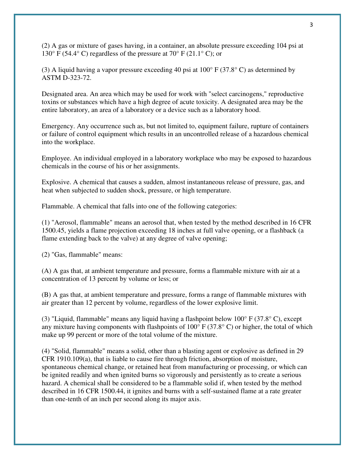(2) A gas or mixture of gases having, in a container, an absolute pressure exceeding 104 psi at 130° F (54.4° C) regardless of the pressure at 70° F (21.1° C); or

(3) A liquid having a vapor pressure exceeding 40 psi at 100° F (37.8° C) as determined by ASTM D-323-72.

Designated area. An area which may be used for work with "select carcinogens," reproductive toxins or substances which have a high degree of acute toxicity. A designated area may be the entire laboratory, an area of a laboratory or a device such as a laboratory hood.

Emergency. Any occurrence such as, but not limited to, equipment failure, rupture of containers or failure of control equipment which results in an uncontrolled release of a hazardous chemical into the workplace.

Employee. An individual employed in a laboratory workplace who may be exposed to hazardous chemicals in the course of his or her assignments.

Explosive. A chemical that causes a sudden, almost instantaneous release of pressure, gas, and heat when subjected to sudden shock, pressure, or high temperature.

Flammable. A chemical that falls into one of the following categories:

(1) "Aerosol, flammable" means an aerosol that, when tested by the method described in 16 CFR 1500.45, yields a flame projection exceeding 18 inches at full valve opening, or a flashback (a flame extending back to the valve) at any degree of valve opening;

(2) "Gas, flammable" means:

(A) A gas that, at ambient temperature and pressure, forms a flammable mixture with air at a concentration of 13 percent by volume or less; or

(B) A gas that, at ambient temperature and pressure, forms a range of flammable mixtures with air greater than 12 percent by volume, regardless of the lower explosive limit.

(3) "Liquid, flammable" means any liquid having a flashpoint below 100° F (37.8° C), except any mixture having components with flashpoints of  $100^{\circ}$  F (37.8°C) or higher, the total of which make up 99 percent or more of the total volume of the mixture.

(4) "Solid, flammable" means a solid, other than a blasting agent or explosive as defined in 29 CFR 1910.109(a), that is liable to cause fire through friction, absorption of moisture, spontaneous chemical change, or retained heat from manufacturing or processing, or which can be ignited readily and when ignited burns so vigorously and persistently as to create a serious hazard. A chemical shall be considered to be a flammable solid if, when tested by the method described in 16 CFR 1500.44, it ignites and burns with a self-sustained flame at a rate greater than one-tenth of an inch per second along its major axis.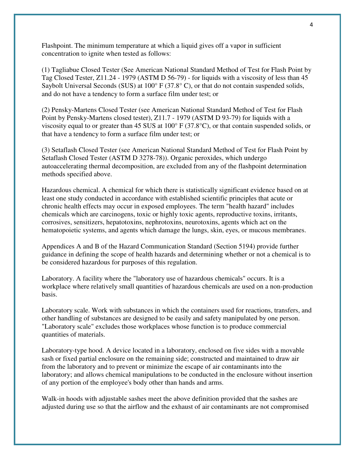Flashpoint. The minimum temperature at which a liquid gives off a vapor in sufficient concentration to ignite when tested as follows:

(1) Tagliabue Closed Tester (See American National Standard Method of Test for Flash Point by Tag Closed Tester, Z11.24 - 1979 (ASTM D 56-79) - for liquids with a viscosity of less than 45 Saybolt Universal Seconds (SUS) at  $100^{\circ}$  F (37.8°C), or that do not contain suspended solids, and do not have a tendency to form a surface film under test; or

(2) Pensky-Martens Closed Tester (see American National Standard Method of Test for Flash Point by Pensky-Martens closed tester), Z11.7 - 1979 (ASTM D 93-79) for liquids with a viscosity equal to or greater than 45 SUS at 100° F (37.8°C), or that contain suspended solids, or that have a tendency to form a surface film under test; or

(3) Setaflash Closed Tester (see American National Standard Method of Test for Flash Point by Setaflash Closed Tester (ASTM D 3278-78)). Organic peroxides, which undergo autoaccelerating thermal decomposition, are excluded from any of the flashpoint determination methods specified above.

Hazardous chemical. A chemical for which there is statistically significant evidence based on at least one study conducted in accordance with established scientific principles that acute or chronic health effects may occur in exposed employees. The term "health hazard" includes chemicals which are carcinogens, toxic or highly toxic agents, reproductive toxins, irritants, corrosives, sensitizers, hepatotoxins, nephrotoxins, neurotoxins, agents which act on the hematopoietic systems, and agents which damage the lungs, skin, eyes, or mucous membranes.

Appendices A and B of the Hazard Communication Standard (Section 5194) provide further guidance in defining the scope of health hazards and determining whether or not a chemical is to be considered hazardous for purposes of this regulation.

Laboratory. A facility where the "laboratory use of hazardous chemicals" occurs. It is a workplace where relatively small quantities of hazardous chemicals are used on a non-production basis.

Laboratory scale. Work with substances in which the containers used for reactions, transfers, and other handling of substances are designed to be easily and safety manipulated by one person. "Laboratory scale" excludes those workplaces whose function is to produce commercial quantities of materials.

Laboratory-type hood. A device located in a laboratory, enclosed on five sides with a movable sash or fixed partial enclosure on the remaining side; constructed and maintained to draw air from the laboratory and to prevent or minimize the escape of air contaminants into the laboratory; and allows chemical manipulations to be conducted in the enclosure without insertion of any portion of the employee's body other than hands and arms.

Walk-in hoods with adjustable sashes meet the above definition provided that the sashes are adjusted during use so that the airflow and the exhaust of air contaminants are not compromised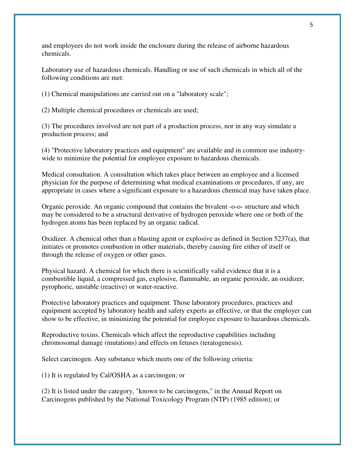and employees do not work inside the enclosure during the release of airborne hazardous chemicals.

Laboratory use of hazardous chemicals. Handling or use of such chemicals in which all of the following conditions are met:

(1) Chemical manipulations are carried out on a "laboratory scale";

(2) Multiple chemical procedures or chemicals are used;

(3) The procedures involved are not part of a production process, nor in any way simulate a production process; and

(4) "Protective laboratory practices and equipment" are available and in common use industrywide to minimize the potential for employee exposure to hazardous chemicals.

Medical consultation. A consultation which takes place between an employee and a licensed physician for the purpose of determining what medical examinations or procedures, if any, are appropriate in cases where a significant exposure to a hazardous chemical may have taken place.

Organic peroxide. An organic compound that contains the bivalent -o-o- structure and which may be considered to be a structural derivative of hydrogen peroxide where one or both of the hydrogen atoms has been replaced by an organic radical.

Oxidizer. A chemical other than a blasting agent or explosive as defined in Section 5237(a), that initiates or promotes combustion in other materials, thereby causing fire either of itself or through the release of oxygen or other gases.

Physical hazard. A chemical for which there is scientifically valid evidence that it is a combustible liquid, a compressed gas, explosive, flammable, an organic peroxide, an oxidizer, pyrophoric, unstable (reactive) or water-reactive.

Protective laboratory practices and equipment. Those laboratory procedures, practices and equipment accepted by laboratory health and safety experts as effective, or that the employer can show to be effective, in minimizing the potential for employee exposure to hazardous chemicals.

Reproductive toxins. Chemicals which affect the reproductive capabilities including chromosomal damage (mutations) and effects on fetuses (teratogenesis).

Select carcinogen. Any substance which meets one of the following criteria:

(1) It is regulated by Cal/OSHA as a carcinogen; or

(2) It is listed under the category, "known to be carcinogens," in the Annual Report on Carcinogens published by the National Toxicology Program (NTP) (1985 edition); or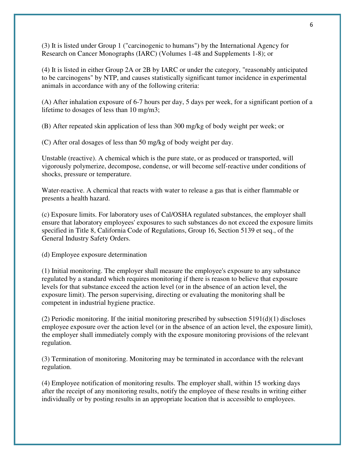(3) It is listed under Group 1 ("carcinogenic to humans") by the International Agency for Research on Cancer Monographs (IARC) (Volumes 1-48 and Supplements 1-8); or

(4) It is listed in either Group 2A or 2B by IARC or under the category, "reasonably anticipated to be carcinogens" by NTP, and causes statistically significant tumor incidence in experimental animals in accordance with any of the following criteria:

(A) After inhalation exposure of 6-7 hours per day, 5 days per week, for a significant portion of a lifetime to dosages of less than 10 mg/m3;

(B) After repeated skin application of less than 300 mg/kg of body weight per week; or

(C) After oral dosages of less than 50 mg/kg of body weight per day.

Unstable (reactive). A chemical which is the pure state, or as produced or transported, will vigorously polymerize, decompose, condense, or will become self-reactive under conditions of shocks, pressure or temperature.

Water-reactive. A chemical that reacts with water to release a gas that is either flammable or presents a health hazard.

(c) Exposure limits. For laboratory uses of Cal/OSHA regulated substances, the employer shall ensure that laboratory employees' exposures to such substances do not exceed the exposure limits specified in Title 8, California Code of Regulations, Group 16, Section 5139 et seq., of the General Industry Safety Orders.

(d) Employee exposure determination

(1) Initial monitoring. The employer shall measure the employee's exposure to any substance regulated by a standard which requires monitoring if there is reason to believe that exposure levels for that substance exceed the action level (or in the absence of an action level, the exposure limit). The person supervising, directing or evaluating the monitoring shall be competent in industrial hygiene practice.

(2) Periodic monitoring. If the initial monitoring prescribed by subsection 5191(d)(1) discloses employee exposure over the action level (or in the absence of an action level, the exposure limit), the employer shall immediately comply with the exposure monitoring provisions of the relevant regulation.

(3) Termination of monitoring. Monitoring may be terminated in accordance with the relevant regulation.

(4) Employee notification of monitoring results. The employer shall, within 15 working days after the receipt of any monitoring results, notify the employee of these results in writing either individually or by posting results in an appropriate location that is accessible to employees.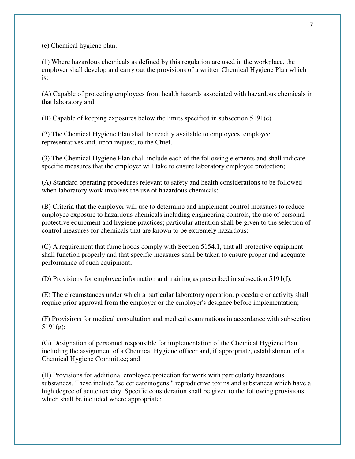(e) Chemical hygiene plan.

(1) Where hazardous chemicals as defined by this regulation are used in the workplace, the employer shall develop and carry out the provisions of a written Chemical Hygiene Plan which is:

(A) Capable of protecting employees from health hazards associated with hazardous chemicals in that laboratory and

(B) Capable of keeping exposures below the limits specified in subsection 5191(c).

(2) The Chemical Hygiene Plan shall be readily available to employees. employee representatives and, upon request, to the Chief.

(3) The Chemical Hygiene Plan shall include each of the following elements and shall indicate specific measures that the employer will take to ensure laboratory employee protection;

(A) Standard operating procedures relevant to safety and health considerations to be followed when laboratory work involves the use of hazardous chemicals:

(B) Criteria that the employer will use to determine and implement control measures to reduce employee exposure to hazardous chemicals including engineering controls, the use of personal protective equipment and hygiene practices; particular attention shall be given to the selection of control measures for chemicals that are known to be extremely hazardous;

(C) A requirement that fume hoods comply with Section 5154.1, that all protective equipment shall function properly and that specific measures shall be taken to ensure proper and adequate performance of such equipment;

(D) Provisions for employee information and training as prescribed in subsection 5191(f);

(E) The circumstances under which a particular laboratory operation, procedure or activity shall require prior approval from the employer or the employer's designee before implementation;

(F) Provisions for medical consultation and medical examinations in accordance with subsection 5191(g);

(G) Designation of personnel responsible for implementation of the Chemical Hygiene Plan including the assignment of a Chemical Hygiene officer and, if appropriate, establishment of a Chemical Hygiene Committee; and

(H) Provisions for additional employee protection for work with particularly hazardous substances. These include "select carcinogens," reproductive toxins and substances which have a high degree of acute toxicity. Specific consideration shall be given to the following provisions which shall be included where appropriate;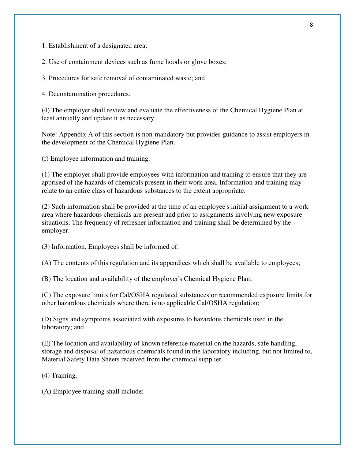1. Establishment of a designated area;

2. Use of containment devices such as fume hoods or glove boxes;

3. Procedures for safe removal of contaminated waste; and

4. Decontamination procedures.

(4) The employer shall review and evaluate the effectiveness of the Chemical Hygiene Plan at least annually and update it as necessary.

Note: Appendix A of this section is non-mandatory but provides guidance to assist employers in the development of the Chemical Hygiene Plan.

(f) Employee information and training.

(1) The employer shall provide employees with information and training to ensure that they are apprised of the hazards of chemicals present in their work area. Information and training may relate to an entire class of hazardous substances to the extent appropriate.

(2) Such information shall be provided at the time of an employee's initial assignment to a work area where hazardous chemicals are present and prior to assignments involving new exposure situations. The frequency of refresher information and training shall be determined by the employer.

(3) Information. Employees shall be informed of:

(A) The contents of this regulation and its appendices which shall be available to employees;

(B) The location and availability of the employer's Chemical Hygiene Plan;

(C) The exposure limits for Cal/OSHA regulated substances or recommended exposure limits for other hazardous chemicals where there is no applicable Cal/OSHA regulation;

(D) Signs and symptoms associated with exposures to hazardous chemicals used in the laboratory; and

(E) The location and availability of known reference material on the hazards, safe handling, storage and disposal of hazardous chemicals found in the laboratory including, but not limited to, Material Safety Data Sheets received from the chemical supplier.

(4) Training.

(A) Employee training shall include;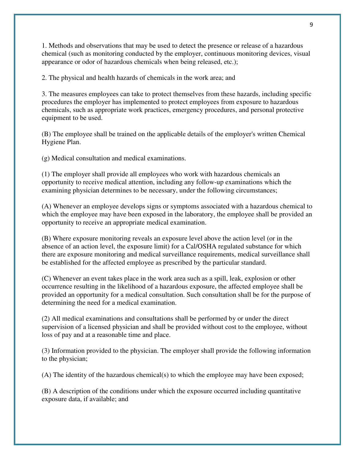1. Methods and observations that may be used to detect the presence or release of a hazardous chemical (such as monitoring conducted by the employer, continuous monitoring devices, visual appearance or odor of hazardous chemicals when being released, etc.);

2. The physical and health hazards of chemicals in the work area; and

3. The measures employees can take to protect themselves from these hazards, including specific procedures the employer has implemented to protect employees from exposure to hazardous chemicals, such as appropriate work practices, emergency procedures, and personal protective equipment to be used.

(B) The employee shall be trained on the applicable details of the employer's written Chemical Hygiene Plan.

(g) Medical consultation and medical examinations.

(1) The employer shall provide all employees who work with hazardous chemicals an opportunity to receive medical attention, including any follow-up examinations which the examining physician determines to be necessary, under the following circumstances;

(A) Whenever an employee develops signs or symptoms associated with a hazardous chemical to which the employee may have been exposed in the laboratory, the employee shall be provided an opportunity to receive an appropriate medical examination.

(B) Where exposure monitoring reveals an exposure level above the action level (or in the absence of an action level, the exposure limit) for a Cal/OSHA regulated substance for which there are exposure monitoring and medical surveillance requirements, medical surveillance shall be established for the affected employee as prescribed by the particular standard.

(C) Whenever an event takes place in the work area such as a spill, leak, explosion or other occurrence resulting in the likelihood of a hazardous exposure, the affected employee shall be provided an opportunity for a medical consultation. Such consultation shall be for the purpose of determining the need for a medical examination.

(2) All medical examinations and consultations shall be performed by or under the direct supervision of a licensed physician and shall be provided without cost to the employee, without loss of pay and at a reasonable time and place.

(3) Information provided to the physician. The employer shall provide the following information to the physician;

(A) The identity of the hazardous chemical(s) to which the employee may have been exposed;

(B) A description of the conditions under which the exposure occurred including quantitative exposure data, if available; and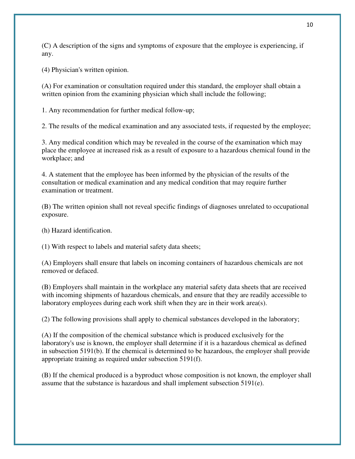(C) A description of the signs and symptoms of exposure that the employee is experiencing, if any.

(4) Physician's written opinion.

(A) For examination or consultation required under this standard, the employer shall obtain a written opinion from the examining physician which shall include the following;

1. Any recommendation for further medical follow-up;

2. The results of the medical examination and any associated tests, if requested by the employee;

3. Any medical condition which may be revealed in the course of the examination which may place the employee at increased risk as a result of exposure to a hazardous chemical found in the workplace; and

4. A statement that the employee has been informed by the physician of the results of the consultation or medical examination and any medical condition that may require further examination or treatment.

(B) The written opinion shall not reveal specific findings of diagnoses unrelated to occupational exposure.

(h) Hazard identification.

(1) With respect to labels and material safety data sheets;

(A) Employers shall ensure that labels on incoming containers of hazardous chemicals are not removed or defaced.

(B) Employers shall maintain in the workplace any material safety data sheets that are received with incoming shipments of hazardous chemicals, and ensure that they are readily accessible to laboratory employees during each work shift when they are in their work area(s).

(2) The following provisions shall apply to chemical substances developed in the laboratory;

(A) If the composition of the chemical substance which is produced exclusively for the laboratory's use is known, the employer shall determine if it is a hazardous chemical as defined in subsection 5191(b). If the chemical is determined to be hazardous, the employer shall provide appropriate training as required under subsection 5191(f).

(B) If the chemical produced is a byproduct whose composition is not known, the employer shall assume that the substance is hazardous and shall implement subsection 5191(e).